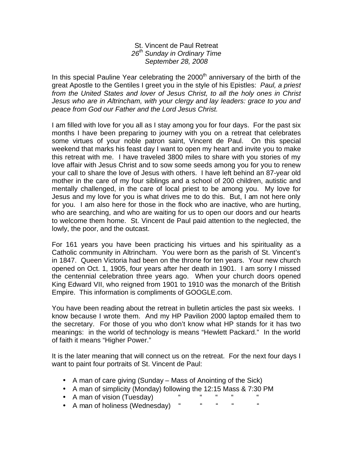## St. Vincent de Paul Retreat *26th Sunday in Ordinary Time September 28, 2008*

In this special Pauline Year celebrating the  $2000<sup>th</sup>$  anniversary of the birth of the great Apostle to the Gentiles I greet you in the style of his Epistles: *Paul, a priest from the United States and lover of Jesus Christ, to all the holy ones in Christ Jesus who are in Altrincham, with your clergy and lay leaders: grace to you and peace from God our Father and the Lord Jesus Christ.* 

I am filled with love for you all as I stay among you for four days. For the past six months I have been preparing to journey with you on a retreat that celebrates some virtues of your noble patron saint, Vincent de Paul. On this special weekend that marks his feast day I want to open my heart and invite you to make this retreat with me. I have traveled 3800 miles to share with you stories of my love affair with Jesus Christ and to sow some seeds among you for you to renew your call to share the love of Jesus with others. I have left behind an 87-year old mother in the care of my four siblings and a school of 200 children, autistic and mentally challenged, in the care of local priest to be among you. My love for Jesus and my love for you is what drives me to do this. But, I am not here only for you. I am also here for those in the flock who are inactive, who are hurting, who are searching, and who are waiting for us to open our doors and our hearts to welcome them home. St. Vincent de Paul paid attention to the neglected, the lowly, the poor, and the outcast.

For 161 years you have been practicing his virtues and his spirituality as a Catholic community in Altrincham. You were born as the parish of St. Vincent's in 1847. Queen Victoria had been on the throne for ten years. Your new church opened on Oct. 1, 1905, four years after her death in 1901. I am sorry I missed the centennial celebration three years ago. When your church doors opened King Edward VII, who reigned from 1901 to 1910 was the monarch of the British Empire. This information is compliments of GOOGLE.com.

You have been reading about the retreat in bulletin articles the past six weeks. I know because I wrote them. And my HP Pavilion 2000 laptop emailed them to the secretary. For those of you who don't know what HP stands for it has two meanings: in the world of technology is means "Hewlett Packard." In the world of faith it means "Higher Power."

It is the later meaning that will connect us on the retreat. For the next four days I want to paint four portraits of St. Vincent de Paul:

- A man of care giving (Sunday Mass of Anointing of the Sick)
- A man of simplicity (Monday) following the 12:15 Mass & 7:30 PM
- A man of vision (Tuesday) " " " " " " "
- A man of holiness (Wednesday) "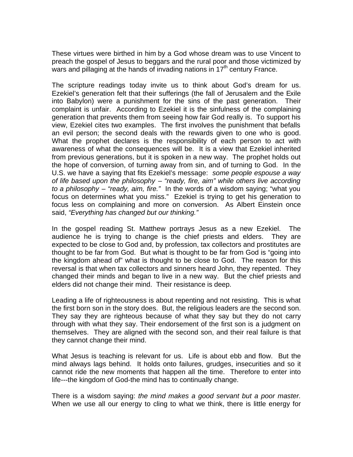These virtues were birthed in him by a God whose dream was to use Vincent to preach the gospel of Jesus to beggars and the rural poor and those victimized by wars and pillaging at the hands of invading nations in 17<sup>th</sup> century France.

The scripture readings today invite us to think about God's dream for us. Ezekiel's generation felt that their sufferings (the fall of Jerusalem and the Exile into Babylon) were a punishment for the sins of the past generation. Their complaint is unfair. According to Ezekiel it is the sinfulness of the complaining generation that prevents them from seeing how fair God really is. To support his view, Ezekiel cites two examples. The first involves the punishment that befalls an evil person; the second deals with the rewards given to one who is good. What the prophet declares is the responsibility of each person to act with awareness of what the consequences will be. It is a view that Ezekiel inherited from previous generations, but it is spoken in a new way. The prophet holds out the hope of conversion, of turning away from sin, and of turning to God. In the U.S. we have a saying that fits Ezekiel's message: *some people espouse a way of life based upon the philosophy – "ready, fire, aim" while others live according to a philosophy – "ready, aim, fire."* In the words of a wisdom saying; "what you focus on determines what you miss." Ezekiel is trying to get his generation to focus less on complaining and more on conversion. As Albert Einstein once said, *"Everything has changed but our thinking."*

In the gospel reading St. Matthew portrays Jesus as a new Ezekiel. The audience he is trying to change is the chief priests and elders. They are expected to be close to God and, by profession, tax collectors and prostitutes are thought to be far from God. But what is thought to be far from God is "going into the kingdom ahead of" what is thought to be close to God. The reason for this reversal is that when tax collectors and sinners heard John, they repented. They changed their minds and began to live in a new way. But the chief priests and elders did not change their mind. Their resistance is deep.

Leading a life of righteousness is about repenting and not resisting. This is what the first born son in the story does. But, the religious leaders are the second son. They say they are righteous because of what they say but they do not carry through with what they say. Their endorsement of the first son is a judgment on themselves. They are aligned with the second son, and their real failure is that they cannot change their mind.

What Jesus is teaching is relevant for us. Life is about ebb and flow. But the mind always lags behind. It holds onto failures, grudges, insecurities and so it cannot ride the new moments that happen all the time. Therefore to enter into life---the kingdom of God-the mind has to continually change.

There is a wisdom saying: *the mind makes a good servant but a poor master.*  When we use all our energy to cling to what we think, there is little energy for